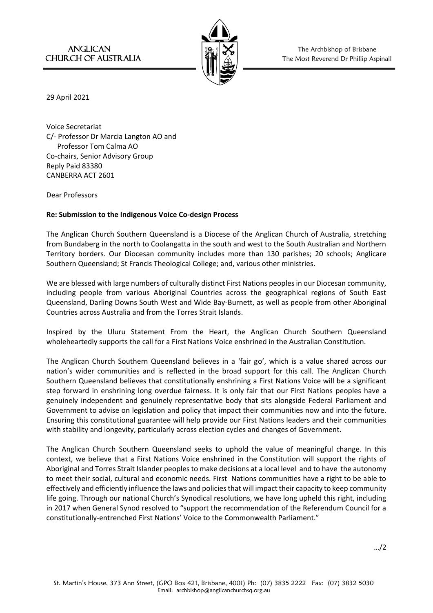

ANGLICAN  $\|\mathfrak{B}_r\|\mathbf{X}\|$  The Archbishop of Brisbane CHURCH OF AUSTRALIA  $|\Psi| \wedge$  | The Most Reverend Dr Phillip Aspinall

29 April 2021

Voice Secretariat C/- Professor Dr Marcia Langton AO and Professor Tom Calma AO Co-chairs, Senior Advisory Group Reply Paid 83380 CANBERRA ACT 2601

Dear Professors

## **Re: Submission to the Indigenous Voice Co-design Process**

The Anglican Church Southern Queensland is a Diocese of the Anglican Church of Australia, stretching from Bundaberg in the north to Coolangatta in the south and west to the South Australian and Northern Territory borders. Our Diocesan community includes more than 130 parishes; 20 schools; Anglicare Southern Queensland; St Francis Theological College; and, various other ministries.

We are blessed with large numbers of culturally distinct First Nations peoples in our Diocesan community, including people from various Aboriginal Countries across the geographical regions of South East Queensland, Darling Downs South West and Wide Bay-Burnett, as well as people from other Aboriginal Countries across Australia and from the Torres Strait Islands.

Inspired by the Uluru Statement From the Heart, the Anglican Church Southern Queensland wholeheartedly supports the call for a First Nations Voice enshrined in the Australian Constitution.

The Anglican Church Southern Queensland believes in a 'fair go', which is a value shared across our nation's wider communities and is reflected in the broad support for this call. The Anglican Church Southern Queensland believes that constitutionally enshrining a First Nations Voice will be a significant step forward in enshrining long overdue fairness. It is only fair that our First Nations peoples have a genuinely independent and genuinely representative body that sits alongside Federal Parliament and Government to advise on legislation and policy that impact their communities now and into the future. Ensuring this constitutional guarantee will help provide our First Nations leaders and their communities with stability and longevity, particularly across election cycles and changes of Government.

The Anglican Church Southern Queensland seeks to uphold the value of meaningful change. In this context, we believe that a First Nations Voice enshrined in the Constitution will support the rights of Aboriginal and Torres Strait Islander peoples to make decisions at a local level and to have the autonomy to meet their social, cultural and economic needs. First Nations communities have a right to be able to effectively and efficiently influence the laws and policies that will impact their capacity to keep community life going. Through our national Church's Synodical resolutions, we have long upheld this right, including in 2017 when General Synod resolved to "support the recommendation of the Referendum Council for a constitutionally-entrenched First Nations' Voice to the Commonwealth Parliament."